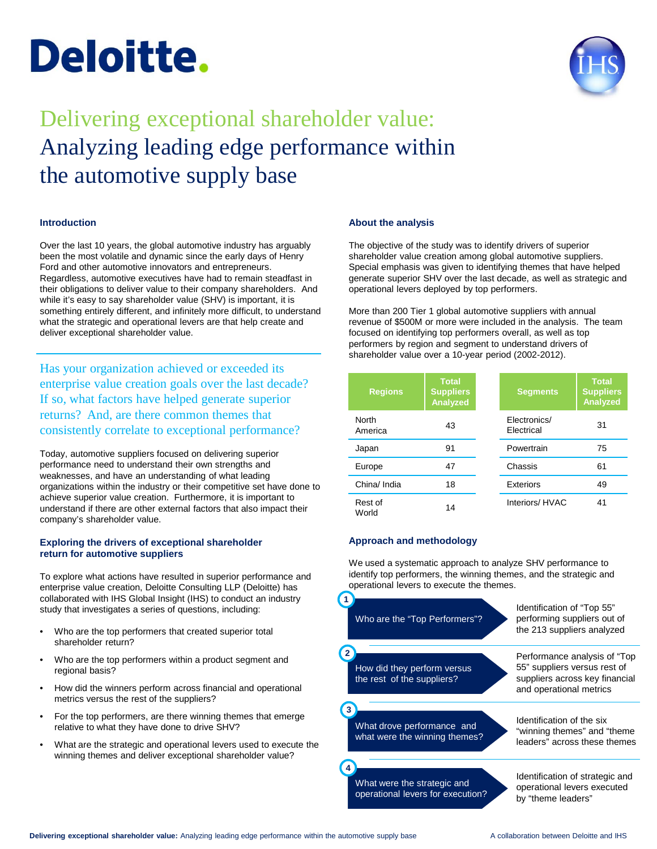# **Deloitte.**



# Delivering exceptional shareholder value: Analyzing leading edge performance within the automotive supply base

# **Introduction**

Over the last 10 years, the global automotive industry has arguably been the most volatile and dynamic since the early days of Henry Ford and other automotive innovators and entrepreneurs. Regardless, automotive executives have had to remain steadfast in their obligations to deliver value to their company shareholders. And while it's easy to say shareholder value (SHV) is important, it is something entirely different, and infinitely more difficult, to understand what the strategic and operational levers are that help create and deliver exceptional shareholder value.

Has your organization achieved or exceeded its enterprise value creation goals over the last decade? If so, what factors have helped generate superior returns? And, are there common themes that consistently correlate to exceptional performance?

Today, automotive suppliers focused on delivering superior performance need to understand their own strengths and weaknesses, and have an understanding of what leading organizations within the industry or their competitive set have done to achieve superior value creation. Furthermore, it is important to understand if there are other external factors that also impact their company's shareholder value.

# **Exploring the drivers of exceptional shareholder return for automotive suppliers**

To explore what actions have resulted in superior performance and enterprise value creation, Deloitte Consulting LLP (Deloitte) has collaborated with IHS Global Insight (IHS) to conduct an industry study that investigates a series of questions, including:

- Who are the top performers that created superior total shareholder return?
- Who are the top performers within a product segment and regional basis?
- How did the winners perform across financial and operational metrics versus the rest of the suppliers?
- For the top performers, are there winning themes that emerge relative to what they have done to drive SHV?
- What are the strategic and operational levers used to execute the winning themes and deliver exceptional shareholder value?

# **About the analysis**

The objective of the study was to identify drivers of superior shareholder value creation among global automotive suppliers. Special emphasis was given to identifying themes that have helped generate superior SHV over the last decade, as well as strategic and operational levers deployed by top performers.

More than 200 Tier 1 global automotive suppliers with annual revenue of \$500M or more were included in the analysis. The team focused on identifying top performers overall, as well as top performers by region and segment to understand drivers of shareholder value over a 10-year period (2002-2012).

| <b>Regions</b>   | <b>Total</b><br><b>Suppliers</b><br>Analyzed | <b>Segments</b>            | <b>Total</b><br><b>Suppliers</b><br>Analyzed |
|------------------|----------------------------------------------|----------------------------|----------------------------------------------|
| North<br>America | 43                                           | Electronics/<br>Electrical | 31                                           |
| Japan            | 91                                           | Powertrain                 | 75                                           |
| Europe           | 47                                           | Chassis                    | 61                                           |
| China/ India     | 18                                           | Exteriors                  | 49                                           |
| Rest of<br>World | 14                                           | Interiors/HVAC             | 41                                           |

# **Approach and methodology**

We used a systematic approach to analyze SHV performance to identify top performers, the winning themes, and the strategic and operational levers to execute the themes.